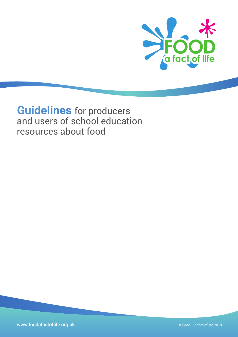

# **Guidelines** for producers and users of school education resources about food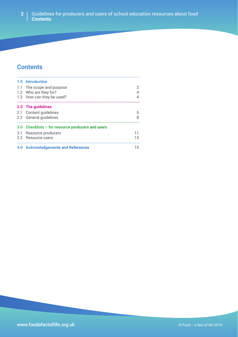#### Guidelines for producers and users of school education resources about food **Contents 2**

## **Contents**

| 1.0 Introduction                                  |    |
|---------------------------------------------------|----|
| 1.1 The scope and purpose                         | 3  |
| 1.2 Who are they for?                             |    |
| 1.3 How can they be used?                         |    |
| 2.0 The guidelines                                |    |
| 2.1 Content guidelines                            | 5  |
| 2.2 General quidelines                            | 8  |
| 3.0 Checklists - for resource producers and users |    |
| 3.1 Resource producers                            | 11 |
| 3.2 Resource users                                | 13 |
| 4.0 Acknowledgements and References               | 15 |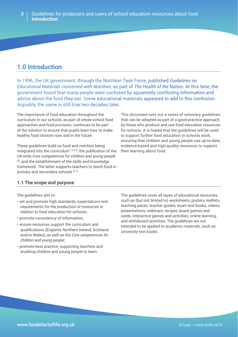## **1.0 Introduction**

In 1996, the UK government, through the Nutrition Task Force, published *Guidelines on Educational Materials concerned with Nutrition*, as part of *The Health of the Nation*. At this time, the government found that many people were confused by apparently conflicting information and advice about the food they eat. Some educational materials appeared to add to this confusion. Arguably, the same is still true two decades later.

The importance of food education throughout the curriculum in our schools, as part of whole school food approaches and food provision, continues to be part of the solution to ensure that pupils learn how to make healthy food choices now and in the future.

These guidelines build on food and nutrition being integrated into the curriculum  $[1,2,3,4]$ , the publication of the UK-wide *Core competences for children and young people* [5], and the establishment of the skills and knowledge framework. The latter supports teachers to teach food in primary and secondary schools [6, 7].

This document sets out a series of voluntary guidelines that can be adopted as part of a good practice approach by those who produce and use food education resources for schools. It is hoped that the guidelines will be used to support further food education in schools work, ensuring that children and young people use up-to-date, evidence-based and high-quality resources to support their learning about food.

## **1.1 The scope and purpose**

The guidelines aim to:

- set and promote high standards, expectations and requirements for the production of resources in relation to food education for schools;
- promote consistency of information;
- ensure resources support the curriculum and qualifications (England, Northern Ireland, Scotland and/or Wales), as well as the *Core competences for children and young people*;
- promote best practice, supporting teachers and enabling children and young people to learn.

The guidelines cover all types of educational resources, such as (but not limited to) worksheets, posters, leaflets, teaching packs, teacher guides, exam text books, videos, presentations, webinars, recipes, board games and cards, interactive games and activities, online learning, and whiteboard activities. The guidelines are not intended to be applied to academic materials, such as university text books.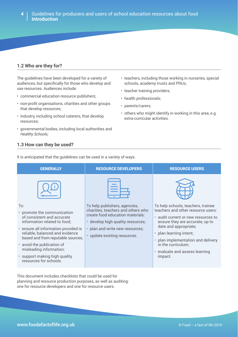• teachers, including those working in nurseries, special

• others who might identify in working in this area, e.g.

schools, academy trusts and PRUs;

• teacher training providers;

extra-curricular activities.

• health professionals;

• parents/carers;

### **1.2 Who are they for?**

The guidelines have been developed for a variety of audiences, but specifically for those who develop and use resources. Audiences include:

- commercial education resource publishers;
- non-profit organisations, charities and other groups that develop resources;
- industry, including school caterers, that develop resources;
- governmental bodies, including local authorities and *Healthy Schools;*

### **1.3 How can they be used?**

It is anticipated that the guidelines can be used in a variety of ways.

| <b>GENERALLY</b>                                                                                             | <b>RESOURCE DEVELOPERS</b>                                                                                                                 | <b>RESOURCE USERS</b>                                                                                                                              |
|--------------------------------------------------------------------------------------------------------------|--------------------------------------------------------------------------------------------------------------------------------------------|----------------------------------------------------------------------------------------------------------------------------------------------------|
|                                                                                                              |                                                                                                                                            |                                                                                                                                                    |
| To:<br>• promote the communication<br>of consistent and accurate<br>information related to food;             | To help publishers, agencies,<br>charities, teachers and others who<br>create food education materials:<br>develop high quality resources; | To help schools, teachers, trainee<br>teachers and other resource users:<br>· audit current or new resources to<br>ensure they are accurate, up to |
| • ensure all information provided is<br>reliable, balanced and evidence<br>based and from reputable sources; | plan and write new resources;<br>• update existing resources.                                                                              | date and appropriate;<br>• plan learning intent;<br>plan implementation and delivery                                                               |
| • avoid the publication of<br>misleading information;                                                        |                                                                                                                                            | in the curriculum;<br>• evaluate and assess learning                                                                                               |
| • support making high quality<br>resources for schools.                                                      |                                                                                                                                            | impact.                                                                                                                                            |

This document includes checklists that could be used for planning and resource production purposes, as well as auditing: one for resource developers and one for resource users.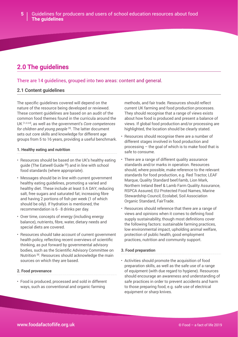## **2.0 The guidelines**

## There are 14 guidelines, grouped into two areas: content and general.

### **2.1 Content guidelines**

The specific guidelines covered will depend on the nature of the resource being developed or reviewed. These content guidelines are based on an audit of the common food themes found in the curricula around the UK [1,2,3,4], as well as the government's *Core competences for children and young people* [5]. The latter document sets out core skills and knowledge for different age groups from 5 to 16 years, providing a useful benchmark.

#### **1. Healthy eating and nutrition**

- Resources should be based on the UK's healthy eating guide (The Eatwell Guide [8]) and in line with school food standards (where appropriate).
- Messages should be in line with current government healthy eating guidelines, promoting a varied and healthy diet. These include at least 5 A DAY; reducing salt, free sugars and saturated fat; increasing fibre and having 2 portions of fish per week (1 of which should be oily). If hydration is mentioned, the recommendation is 6 - 8 drinks per day.
- Over time, concepts of energy (including energy balance), nutrients, fibre, water, dietary needs and special diets are covered.
- Resources should take account of current government health policy, reflecting recent overviews of scientific thinking, as put forward by governmental advisory bodies, such as the Scientific Advisory Committee on Nutrition<sup>[9]</sup>. Resources should acknowledge the main sources on which they are based.

#### **2. Food provenance**

• Food is produced, processed and sold in different ways, such as conventional and organic farming

methods, and fair trade. Resources should reflect current UK farming and food production processes. They should recognise that a range of views exists about how food is produced and present a balance of views. If global food production and/or processing are highlighted, the location should be clearly stated.

- Resources should recognise there are a number of different stages involved in food production and processing – the goal of which is to make food that is safe to consume.
- There are a range of different quality assurance standards and/or marks in operation. Resources should, where possible, make reference to the relevant standards for food production, e.g. Red Tractor, LEAF Marque, Quality Standard beef/lamb, Lion Mark, Northern Ireland Beef & Lamb Farm Quality Assurance, RSPCA Assured, EU Protected Food Names, Marine Stewardship Council, Ecolabel, Soil Association Organic Standard, FairTrade.
- Resources should reference that there are a range of views and opinions when it comes to defining food supply sustainability, though most definitions cover the following factors: sustainable farming practices, low environmental impact, upholding animal welfare, protection of public health, good employment practices, nutrition and community support.

#### **3. Food preparation**

• Activities should promote the acquisition of food preparation skills, as well as the safe use of a range of equipment (with due regard to hygiene). Resources should encourage an awareness and understanding of safe practices in order to prevent accidents and harm to those preparing food, e.g. safe use of electrical equipment or sharp knives.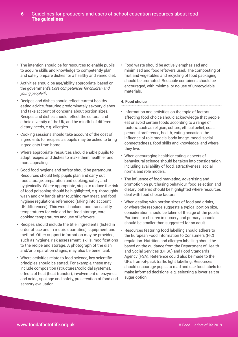- The intention should be for resources to enable pupils to acquire skills and knowledge to competently plan and safely prepare dishes for a healthy and varied diet.
- Activities should be age/ability appropriate, based on the government's *Core competences for children and young people* [5].
- Recipes and dishes should reflect current healthy eating advice, featuring predominately savoury dishes and take account of concerns about portion sizes. Recipes and dishes should reflect the cultural and ethnic diversity of the UK, and be mindful of different dietary needs, e.g. allergies.
- Cooking sessions should take account of the cost of ingredients for recipes, as pupils may be asked to bring ingredients from home.
- Where appropriate, resources should enable pupils to adapt recipes and dishes to make them healthier and more appealing.
- Good food hygiene and safety should be paramount. Resources should help pupils plan and carry out food storage, preparation and cooking, safely and hygienically. Where appropriate, steps to reduce the risk of food poisoning should be highlighted, e.g. thoroughly wash and dry hands after touching raw meat, and food hygiene regulations referenced (taking into account UK differences). This would include food traceability, temperatures for cold and hot food storage, core cooking temperatures and use of leftovers.
- Recipes should include the title, ingredients (listed in order of use and in metric quantities), equipment and method. Other support information may be provided, such as hygiene, risk assessment, skills, modifications to the recipe and storage. A photograph of the dish, and/or preparation stages, may also be beneficial.
- Where activities relate to food science, key scientific principles should be stated. For example, these may include composition (structures/colloidal systems), effects of heat (heat transfer), involvement of enzymes and acids, spoilage and safety, preservation of food and sensory evaluation.

• Food waste should be actively emphasised and minimised and food leftovers used. The composting of fruit and vegetables and recycling of food packaging should be promoted. Reusable containers should be encouraged, with minimal or no use of unrecyclable materials.

#### **4. Food choice**

- Information and activities on the topic of factors affecting food choice should acknowledge that people eat or avoid certain foods according to a range of factors, such as religion, culture, ethical belief, cost, personal preference, health, eating occasion, the influence of role models, body image, mood, social connectedness, food skills and knowledge, and where they live.
- When encouraging healthier eating, aspects of behavioural science should be taken into consideration, including availability of food, attractiveness, social norms and role models.
- The influence of food marketing, advertising and promotion on purchasing behaviour, food selection and dietary patterns should be highlighted where resources deal with food choice factors.
- When dealing with portion sizes of food and drinks, or where the resource suggests a typical portion size, consideration should be taken of the age of the pupils. Portions for children in nursery and primary schools should be smaller than suggested for an adult.
- Resources featuring food labelling should adhere to the European Food Information to Consumers (FIC) regulation. Nutrition and allergen labelling should be based on the guidance from the Department of Health and Social Services (DHSC) and Food Standards Agency (FSA). Reference could also be made to the UK's front-of-pack traffic light labelling. Resources should encourage pupils to read and use food labels to make informed decisions, e.g. selecting a lower salt or sugar option.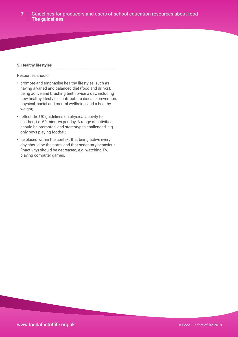#### **5. Healthy lifestyles**

Resources should:

- promote and emphasise healthy lifestyles, such as having a varied and balanced diet (food and drinks), being active and brushing teeth twice a day, including how healthy lifestyles contribute to disease prevention, physical, social and mental wellbeing, and a healthy weight;
- reflect the UK guidelines on physical activity for children, i.e. 60 minutes per day. A range of activities should be promoted, and stereotypes challenged, e.g. only boys playing football;
- be placed within the context that being active every day should be the norm, and that sedentary behaviour (inactivity) should be decreased, e.g. watching TV, playing computer games.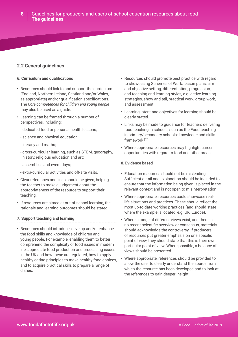### **2.2 General guidelines**

#### **6. Curriculum and qualifications**

- Resources should link to and support the curriculum (England, Northern Ireland, Scotland and/or Wales, as appropriate) and/or qualification specifications. The *Core competences for children and young people* may also be used as a guide.
- Learning can be framed through a number of perspectives, including:
	- dedicated food or personal health lessons;
	- science and physical education;
	- literacy and maths;
	- cross-curricular learning, such as STEM, geography, history, religious education and art;
	- assemblies and event days;
	- extra-curricular activities and off-site visits.
- Clear references and links should be given, helping the teacher to make a judgement about the appropriateness of the resource to support their teaching.
- If resources are aimed at out-of-school learning, the rationale and learning outcomes should be stated.

#### **7. Support teaching and learning**

• Resources should introduce, develop and/or enhance the food skills and knowledge of children and young people. For example, enabling them to better comprehend the complexity of food issues in modern life, appreciate food production and processing issues in the UK and how these are regulated, how to apply healthy eating principles to make healthy food choices, and to acquire practical skills to prepare a range of dishes.

- Resources should promote best practice with regard to showcasing Schemes of Work, lesson plans, aim and objective setting, differentiation, progression, and teaching and learning styles, e.g. active learning strategies, show and tell, practical work, group work, and assessment.
- Learning intent and objectives for learning should be clearly stated.
- Links may be made to guidance for teachers delivering food teaching in schools, such as the Food teaching in primary/secondary schools: knowledge and skills framework<sup>[6,7]</sup>.
- Where appropriate, resources may highlight career opportunities with regard to food and other areas.

#### **8. Evidence based**

- Education resources should not be misleading. Sufficient detail and explanation should be included to ensure that the information being given is placed in the relevant context and is not open to misinterpretation.
- Where appropriate, resources could showcase reallife situations and practices. These should reflect the most up-to-date working practices (and should state where the example is located, e.g. UK, Europe).
- Where a range of different views exist, and there is no recent scientific overview or consensus, materials should acknowledge the controversy. If producers of resources put greater emphasis on one specific point of view, they should state that this is their own particular point of view. Where possible, a balance of views should be presented.
- Where appropriate, references should be provided to allow the user to clearly understand the source from which the resource has been developed and to look at the references to gain deeper insight.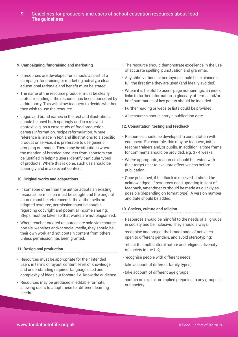#### **9. Campaigning, fundraising and marketing**

- If resources are developed for schools as part of a campaign, fundraising or marketing activity, a clear educational rationale and benefit must be stated.
- The name of the resource producer must be clearly stated, including if the resource has been sponsored by a third party. This will allow teachers to decide whether they wish to use the resource.
- Logos and brand names in the text and illustrations should be used both sparingly and in a relevant context, e.g. as a case study of food production, careers information, recipe reformulation. Where reference is made in text and illustrations to a specific product or service, it is preferable to use generic grouping or images. There may be situations where the mention of branded products from sponsors can be justified in helping users identify particular types of products. Where this is done, such use should be sparingly and in a relevant context.

#### **10. Original works and adaptations**

- If someone other than the author adapts an existing resource, permission must be sought and the original source must be referenced. If the author sells an adapted resource, permission must be sought regarding copyright and potential income sharing. Steps must be taken so that works are not plagiarised.
- Where teacher-created resources are sold via resource portals, websites and/or social media, they should be their own work and not contain content from others, unless permission has been granted.

#### **11. Design and production**

- Resources must be appropriate for their intended users in terms of layout, content, level of knowledge and understanding required, language used and complexity of ideas put forward, i.e. know the audience.
- Resources may be produced in editable formats, allowing users to adapt these for different learning needs.
- The resource should demonstrate excellence in the use of accurate spelling, punctuation and grammar.
- Any abbreviations or acronyms should be explained in full the first time they are used (and ideally avoided).
- Where it is helpful to users, page numberings, an index, links to further information, a glossary of terms and/or brief summaries of key points should be included.
- Further reading or website lists could be provided.
- All resources should carry a publication date.

#### **12. Consultation, testing and feedback**

- Resources should be developed in consultation with end-users. For example, this may be teachers, initial teacher trainers and/or pupils. In addition, a time frame for comments should be provided, e.g. 3 - 4 weeks.
- Where appropriate, resources should be tested with their target user to evaluate effectiveness before publication.
- Once published, if feedback is received, it should be acknowledged. If resources need updating in light of feedback, amendments should be made as quickly as possible (depending on format type). A version number and date should be added.

#### **13. Society, culture and religion**

- Resources should be mindful to the needs of all groups in society and be inclusive. They should always:
- recognise and project the broad range of activities open to different genders, and avoid stereotyping;
- reflect the multicultural nature and religious diversity of society in the UK;
- recognise people with different needs;
- take account of different family types;
- take account of different age groups;
- contain no explicit or implied prejudice to any groups in our society.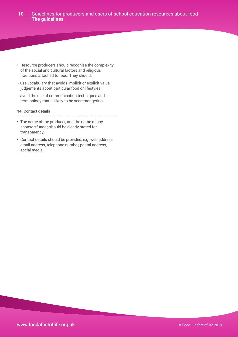- Resource producers should recognise the complexity of the social and cultural factors and religious traditions attached to food. They should:
- use vocabulary that avoids implicit or explicit value judgements about particular food or lifestyles;
- avoid the use of communication techniques and terminology that is likely to be scaremongering.

#### **14. Contact details**

- The name of the producer, and the name of any sponsor/funder, should be clearly stated for transparency.
- Contact details should be provided, e.g. web address, email address, telephone number, postal address, social media.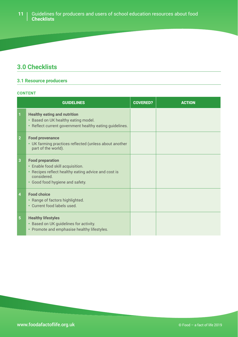## **3.0 Checklists**

## **3.1 Resource producers**

#### **CONTENT**

|                | <b>GUIDELINES</b>                                                                                                                                                               | <b>COVERED?</b> | <b>ACTION</b> |
|----------------|---------------------------------------------------------------------------------------------------------------------------------------------------------------------------------|-----------------|---------------|
|                | <b>Healthy eating and nutrition</b><br>• Based on UK healthy eating model.<br>• Reflect current government healthy eating guidelines.                                           |                 |               |
| $\overline{2}$ | <b>Food provenance</b><br>• UK farming practices reflected (unless about another<br>part of the world).                                                                         |                 |               |
| 3              | <b>Food preparation</b><br>• Enable food skill acquisition.<br>Recipes reflect healthy eating advice and cost is<br>$\bullet$<br>considered.<br>• Good food hygiene and safety. |                 |               |
| 4              | <b>Food choice</b><br>• Range of factors highlighted.<br>• Current food labels used.                                                                                            |                 |               |
| 5 <sup>5</sup> | <b>Healthy lifestyles</b><br>• Based on UK guidelines for activity.<br>• Promote and emphasise healthy lifestyles.                                                              |                 |               |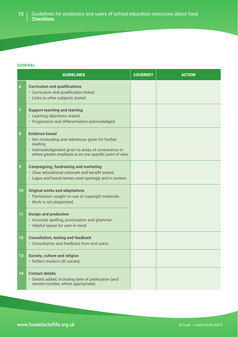#### **GENERAL**

|    | <b>GUIDELINES</b>                                                                                                                                                                                        | <b>COVERED?</b> | <b>ACTION</b> |
|----|----------------------------------------------------------------------------------------------------------------------------------------------------------------------------------------------------------|-----------------|---------------|
| 6  | <b>Curriculum and qualifications</b><br>• Curriculum and qualification linked.<br>• Links to other subjects stated.                                                                                      |                 |               |
|    | <b>Support teaching and learning</b><br>• Learning objectives stated.<br>• Progression and differentiation acknowledged.                                                                                 |                 |               |
| 8  | <b>Evidence based</b><br>• Not misleading and references given for further<br>reading.<br>• Acknowledgement given to areas of controversy or<br>where greater emphasis is on one specific point of view. |                 |               |
| 9  | <b>Campaigning, fundraising and marketing</b><br>• Clear educational rationale and benefit stated.<br>• Logos and brand names used sparingly and in context.                                             |                 |               |
| 10 | <b>Original works and adaptations</b><br>• Permission sought on use of copyright materials.<br>• Work is not plagiarised.                                                                                |                 |               |
| 11 | <b>Design and production</b><br>• Accurate spelling, punctuation and grammar.<br>• Helpful layout for user in mind.                                                                                      |                 |               |
| 12 | <b>Consultation, testing and feedback</b><br>• Consultation and feedback from end users.                                                                                                                 |                 |               |
| 13 | Society, culture and religion<br>• Reflect modern UK society.                                                                                                                                            |                 |               |
| 14 | <b>Contact details</b><br>• Details added, including date of publication (and<br>version number, where appropriate).                                                                                     |                 |               |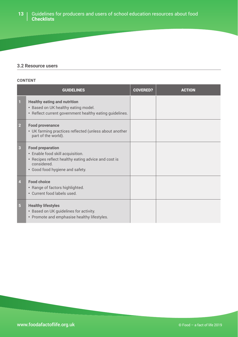### **13** Guidelines for producers and users of school education resources about food **Checklists**

## **3.2 Resource users**

#### **CONTENT**

|                | <b>GUIDELINES</b>                                                                                                                                                    | <b>COVERED?</b> | <b>ACTION</b> |
|----------------|----------------------------------------------------------------------------------------------------------------------------------------------------------------------|-----------------|---------------|
| 1              | <b>Healthy eating and nutrition</b><br>• Based on UK healthy eating model.<br>• Reflect current government healthy eating guidelines.                                |                 |               |
| $\overline{2}$ | <b>Food provenance</b><br>• UK farming practices reflected (unless about another<br>part of the world).                                                              |                 |               |
| 3              | <b>Food preparation</b><br>• Enable food skill acquisition.<br>• Recipes reflect healthy eating advice and cost is<br>considered.<br>• Good food hygiene and safety. |                 |               |
| 4              | <b>Food choice</b><br>• Range of factors highlighted.<br>• Current food labels used.                                                                                 |                 |               |
| 5 <sup>1</sup> | <b>Healthy lifestyles</b><br>• Based on UK guidelines for activity.<br>• Promote and emphasise healthy lifestyles.                                                   |                 |               |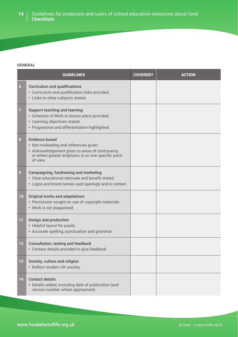#### **GENERAL**

|                 | <b>GUIDELINES</b>                                                                                                                                                                    | <b>COVERED?</b> | <b>ACTION</b> |
|-----------------|--------------------------------------------------------------------------------------------------------------------------------------------------------------------------------------|-----------------|---------------|
| $6\overline{6}$ | <b>Curriculum and qualifications</b><br>• Curriculum and qualification links provided.<br>• Links to other subjects stated.                                                          |                 |               |
|                 | <b>Support teaching and learning</b><br>· Schemes of Work or lesson plans provided.<br>• Learning objectives stated.<br>• Progression and differentiation highlighted.               |                 |               |
| 8               | <b>Evidence based</b><br>• Not misleading and references given.<br>• Acknowledgement given to areas of controversy<br>or where greater emphasis is on one specific point<br>of view. |                 |               |
| 9               | <b>Campaigning, fundraising and marketing</b><br>• Clear educational rationale and benefit stated.<br>• Logos and brand names used sparingly and in context.                         |                 |               |
| 10 <sub>1</sub> | <b>Original works and adaptations</b><br>• Permission sought on use of copyright materials.<br>• Work is not plagiarised.                                                            |                 |               |
| 11              | <b>Design and production</b><br>• Helpful layout for pupils.<br>• Accurate spelling, punctuation and grammar.                                                                        |                 |               |
| 12              | <b>Consultation, testing and feedback</b><br>• Contact details provided to give feedback.                                                                                            |                 |               |
| 13              | Society, culture and religion<br>· Reflect modern UK society.                                                                                                                        |                 |               |
| 14              | <b>Contact details</b><br>• Details added, including date of publication (and<br>version number, where appropriate).                                                                 |                 |               |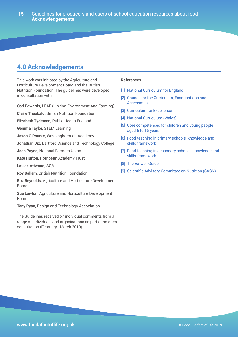## **4.0 Acknowledgements**

This work was initiated by the Agriculture and Horticulture Development Board and the British Nutrition Foundation. The guidelines were developed in consultation with:

**Carl Edwards,** LEAF (Linking Environment And Farming)

**Claire Theobald,** British Nutrition Foundation

**Elizabeth Tydeman,** Public Health England

**Gemma Taylor,** STEM Learning

**Jason O'Rourke,** Washingborough Academy

**Jonathan Dix,** Dartford Science and Technology College

**Josh Payne,** National Farmers Union

**Kate Hufton,** Hornbean Academy Trust

**Louise Attwood,** AQA

**Roy Ballam,** British Nutrition Foundation

**Roz Reynolds,** Agriculture and Horticulture Development Board

**Sue Lawton,** Agriculture and Horticulture Development Board

**Tony Ryan,** Design and Technology Association

The Guidelines received 57 individual comments from a range of individuals and organisations as part of an open consultation (February - March 2019).

#### **References**

[\[1\] National Curriculum for England](https://www.gov.uk/government/collections/national-curriculum)

- [2] Council for the Curriculum, Examinations and [Assessment](http://ccea.org.uk/curriculum)
- [\[3\] Curriculum for Excellence](https://education.gov.scot/scottish-education-system/policy-for-scottish-education/policy-drivers/cfe-%28building-from-the-statement-appendix-incl-btc1-5%29/What%20is%20Curriculum%20for%20Excellence?)
- [\[4\] National Curriculum \(Wales\)](https://gov.wales/curriculum-and-assessment)
- [\[5\] Core competences for children and young people](https://www.nutrition.org.uk/foodinschools/competences/competences.html)  [aged 5 to 16 years](https://www.nutrition.org.uk/foodinschools/competences/competences.html)
- [\[6\] Food teaching in primary schools: knowledge and](https://www.gov.uk/government/publications/food-teaching-in-primary-schools-knowledge-and-skills-framework)  [skills framework](https://www.gov.uk/government/publications/food-teaching-in-primary-schools-knowledge-and-skills-framework)
- [7] Food teaching in secondary schools: knowledge and [skills framework](https://www.gov.uk/government/publications/food-teaching-in-secondary-schools-knowledge-and-skills-framework)
- [\[8\] The Eatwell Guide](https://www.gov.uk/government/publications/the-eatwell-guide)
- [\[9\] Scientific Advisory Committee on Nutrition \(SACN\)](https://www.gov.uk/government/groups/scientific-advisory-committee-on-nutrition)